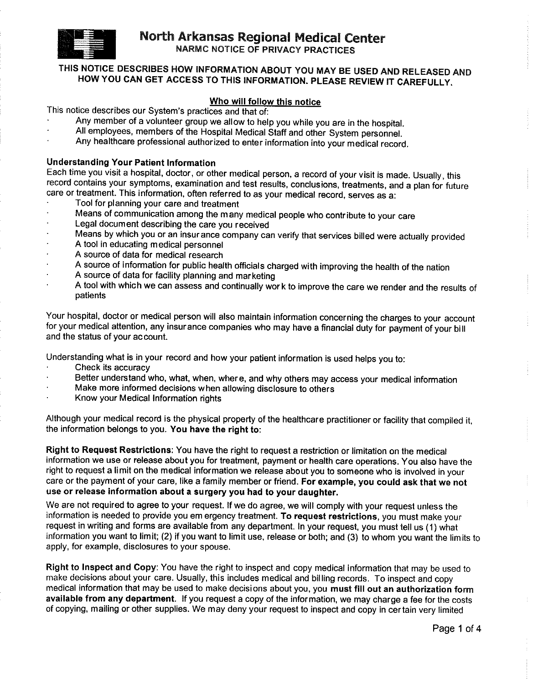

**NARMC NOTICE OF PRIVACY PRACTICES** 

# THIS NOTICE DESCRIBES HOW INFORMATION ABOUT YOU MAY BE USED AND RELEASED AND HOW YOU CAN GET ACCESS TO THIS INFORMATION. PLEASE REVIEW IT CAREFULLY.

### Who will follow this notice

This notice describes our System's practices and that of:

- Any member of a volunteer group we allow to help you while you are in the hospital.
- All employees, members of the Hospital Medical Staff and other System personnel.
- Any healthcare professional authorized to enter information into your medical record.

## **Understanding Your Patient Information**

Each time you visit a hospital, doctor, or other medical person, a record of your visit is made. Usually, this record contains your symptoms, examination and test results, conclusions, treatments, and a plan for future care or treatment. This information, often referred to as your medical record, serves as a:

- Tool for planning your care and treatment
- Means of communication among the many medical people who contribute to your care
- Legal document describing the care you received
- Means by which you or an insur ance company can verify that services billed were actually provided
- A tool in educating medical personnel
- A source of data for medical research
- A source of information for public health officials charged with improving the health of the nation
- A source of data for facility planning and marketing
- A tool with which we can assess and continually work to improve the care we render and the results of patients

Your hospital, doctor or medical person will also maintain information concerning the charges to your account for your medical attention, any insurance companies who may have a financial duty for payment of your bill and the status of your account.

Understanding what is in your record and how your patient information is used helps you to:

- Check its accuracy
- Better understand who, what, when, where, and why others may access your medical information
- Make more informed decisions when allowing disclosure to others
- Know your Medical Information rights

Although your medical record is the physical property of the healthcare practitioner or facility that compiled it, the information belongs to you. You have the right to:

Right to Request Restrictions: You have the right to request a restriction or limitation on the medical information we use or release about you for treatment, payment or health care operations. You also have the right to request a limit on the medical information we release about you to someone who is involved in your care or the payment of your care, like a family member or friend. For example, you could ask that we not use or release information about a surgery you had to your daughter.

We are not required to agree to your request. If we do agree, we will comply with your request unless the information is needed to provide you em ergency treatment. To request restrictions, you must make your request in writing and forms are available from any department. In your request, you must tell us (1) what information you want to limit; (2) if you want to limit use, release or both; and (3) to whom you want the limits to apply, for example, disclosures to your spouse.

Right to Inspect and Copy: You have the right to inspect and copy medical information that may be used to make decisions about your care. Usually, this includes medical and billing records. To inspect and copy medical information that may be used to make decisions about you, you must fill out an authorization form available from any department. If you request a copy of the information, we may charge a fee for the costs of copving, mailing or other supplies. We may deny your request to inspect and copy in certain very limited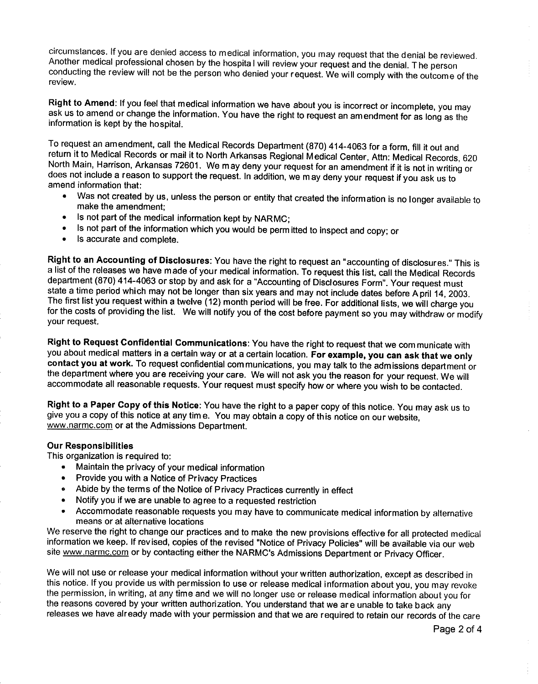circumstances. If you are denied access to medical information, you may request that the denial be reviewed. Another medical professional chosen by the hospital will review your request and the denial. The person conducting the review will not be the person who denied your request. We will comply with the outcome of the review.

Right to Amend: If you feel that medical information we have about you is incorrect or incomplete, you may ask us to amend or change the information. You have the right to request an amendment for as long as the information is kept by the hospital.

To request an amendment, call the Medical Records Department (870) 414-4063 for a form, fill it out and return it to Medical Records or mail it to North Arkansas Regional Medical Center, Attn: Medical Records, 620 North Main, Harrison, Arkansas 72601. We may deny your request for an amendment if it is not in writing or does not include a reason to support the request. In addition, we may deny your request if you ask us to amend information that:

- Was not created by us, unless the person or entity that created the information is no longer available to  $\bullet$  . make the amendment:
- Is not part of the medical information kept by NARMC;  $\bullet$
- Is not part of the information which you would be permitted to inspect and copy; or
- Is accurate and complete.  $\bullet$

Right to an Accounting of Disclosures: You have the right to request an "accounting of disclosures." This is a list of the releases we have made of your medical information. To request this list, call the Medical Records department (870) 414-4063 or stop by and ask for a "Accounting of Disclosures Form". Your request must state a time period which may not be longer than six years and may not include dates before A pril 14, 2003. The first list you request within a twelve (12) month period will be free. For additional lists, we will charge you for the costs of providing the list. We will notify you of the cost before payment so you may withdraw or modify your request.

Right to Request Confidential Communications: You have the right to request that we communicate with you about medical matters in a certain way or at a certain location. For example, you can ask that we only contact you at work. To request confidential communications, you may talk to the admissions department or the department where you are receiving your care. We will not ask you the reason for your request. We will accommodate all reasonable requests. Your request must specify how or where you wish to be contacted.

Right to a Paper Copy of this Notice: You have the right to a paper copy of this notice. You may ask us to give you a copy of this notice at any time. You may obtain a copy of this notice on our website, www.narmc.com or at the Admissions Department.

#### **Our Responsibilities**

This organization is required to:

- Maintain the privacy of your medical information
- Provide you with a Notice of Privacy Practices  $\bullet$
- Abide by the terms of the Notice of Privacy Practices currently in effect  $\bullet$
- Notify you if we are unable to agree to a requested restriction  $\bullet$
- Accommodate reasonable requests you may have to communicate medical information by alternative  $\bullet$ means or at alternative locations

We reserve the right to change our practices and to make the new provisions effective for all protected medical information we keep. If revised, copies of the revised "Notice of Privacy Policies" will be available via our web site www.narmc.com or by contacting either the NARMC's Admissions Department or Privacy Officer.

We will not use or release your medical information without your written authorization, except as described in this notice. If you provide us with permission to use or release medical information about you, you may revoke the permission, in writing, at any time and we will no longer use or release medical information about you for the reasons covered by your written authorization. You understand that we are unable to take back any releases we have already made with your permission and that we are required to retain our records of the care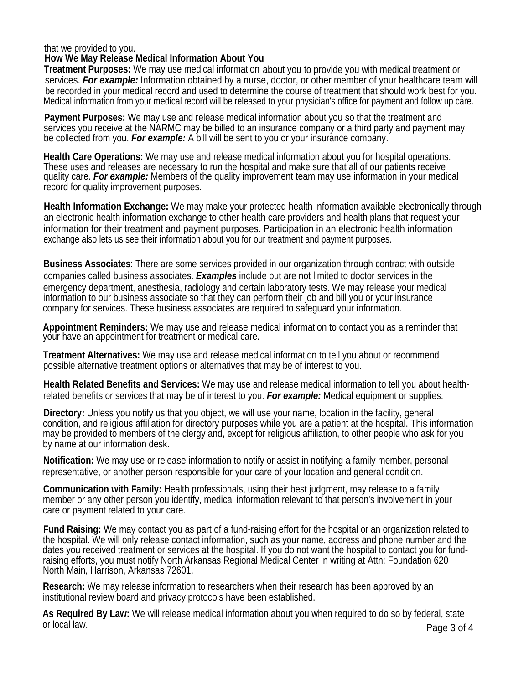### that we provided to you.

## **How We May Release Medical Information About You**

**Treatment Purposes:** We may use medical information about you to provide you with medical treatment or services. *For example:* Information obtained by a nurse, doctor, or other member of your healthcare team will be recorded in your medical record and used to determine the course of treatment that should work best for you. Medical information from your medical record will be released to your physician's office for payment and follow up care.

**Payment Purposes:** We may use and release medical information about you so that the treatment and services you receive at the NARMC may be billed to an insurance company or a third party and payment may be collected from you. *For example:* A bill will be sent to you or your insurance company.

**Health Care Operations:** We may use and release medical information about you for hospital operations. These uses and releases are necessary to run the hospital and make sure that all of our patients receive quality care. *For example:* Members of the quality improvement team may use information in your medical record for quality improvement purposes.

**Health Information Exchange:** We may make your protected health information available electronically through an electronic health information exchange to other health care providers and health plans that request your information for their treatment and payment purposes. Participation in an electronic health information exchange also lets us see their information about you for our treatment and payment purposes.

**Business Associates**: There are some services provided in our organization through contract with outside companies called business associates. *Examples* include but are not limited to doctor services in the emergency department, anesthesia, radiology and certain laboratory tests. We may release your medical information to our business associate so that they can perform their job and bill you or your insurance company for services. These business associates are required to safeguard your information.

**Appointment Reminders:** We may use and release medical information to contact you as a reminder that your have an appointment for treatment or medical care.

**Treatment Alternatives:** We may use and release medical information to tell you about or recommend possible alternative treatment options or alternatives that may be of interest to you.

**Health Related Benefits and Services:** We may use and release medical information to tell you about healthrelated benefits or services that may be of interest to you. *For example:* Medical equipment or supplies.

**Directory:** Unless you notify us that you object, we will use your name, location in the facility, general condition, and religious affiliation for directory purposes while you are a patient at the hospital. This information may be provided to members of the clergy and, except for religious affiliation, to other people who ask for you by name at our information desk.

**Notification:** We may use or release information to notify or assist in notifying a family member, personal representative, or another person responsible for your care of your location and general condition.

**Communication with Family:** Health professionals, using their best judgment, may release to a family member or any other person you identify, medical information relevant to that person's involvement in your care or payment related to your care.

**Fund Raising:** We may contact you as part of a fund-raising effort for the hospital or an organization related to the hospital. We will only release contact information, such as your name, address and phone number and the dates you received treatment or services at the hospital. If you do not want the hospital to contact you for fundraising efforts, you must notify North Arkansas Regional Medical Center in writing at Attn: Foundation 620 North Main, Harrison, Arkansas 72601.

**Research:** We may release information to researchers when their research has been approved by an institutional review board and privacy protocols have been established.

**As Required By Law:** We will release medical information about you when required to do so by federal, state or local law. Page 3 of 4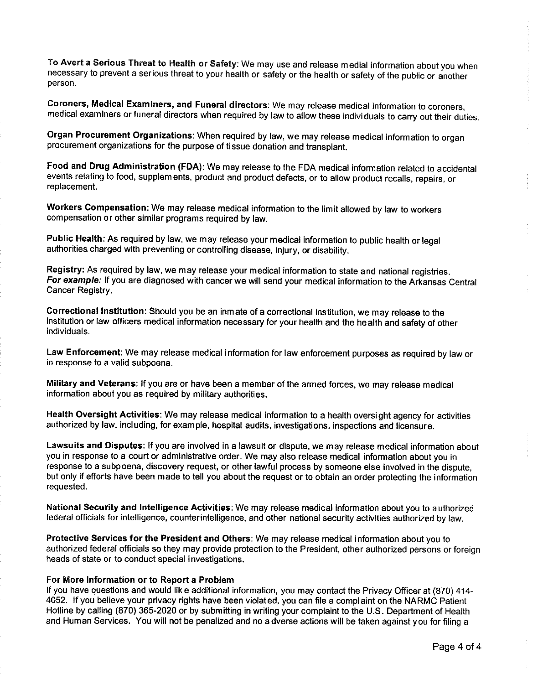To Avert a Serious Threat to Health or Safety: We may use and release medial information about you when necessary to prevent a serious threat to your health or safety or the health or safety of the public or another person.

Coroners, Medical Examiners, and Funeral directors: We may release medical information to coroners, medical examiners or funeral directors when required by law to allow these individuals to carry out their duties.

Organ Procurement Organizations: When required by law, we may release medical information to organ procurement organizations for the purpose of tissue donation and transplant.

Food and Drug Administration (FDA): We may release to the FDA medical information related to accidental events relating to food, supplements, product and product defects, or to allow product recalls, repairs, or replacement.

Workers Compensation: We may release medical information to the limit allowed by law to workers compensation or other similar programs required by law.

Public Health: As required by law, we may release your medical information to public health or legal authorities charged with preventing or controlling disease, injury, or disability.

Registry: As required by law, we may release your medical information to state and national registries. For example: If you are diagnosed with cancer we will send your medical information to the Arkansas Central Cancer Registry.

Correctional Institution: Should you be an inmate of a correctional institution, we may release to the institution or law officers medical information necessary for your health and the health and safety of other individuals.

Law Enforcement: We may release medical information for law enforcement purposes as required by law or in response to a valid subpoena.

Military and Veterans: If you are or have been a member of the armed forces, we may release medical information about you as required by military authorities.

Health Oversight Activities: We may release medical information to a health oversight agency for activities authorized by law, including, for example, hospital audits, investigations, inspections and licensure.

Lawsuits and Disputes: If you are involved in a lawsuit or dispute, we may release medical information about you in response to a court or administrative order. We may also release medical information about you in response to a subpoena, discovery request, or other lawful process by someone else involved in the dispute, but only if efforts have been made to tell you about the request or to obtain an order protecting the information requested.

National Security and Intelligence Activities: We may release medical information about you to authorized federal officials for intelligence, counterintelligence, and other national security activities authorized by law.

Protective Services for the President and Others: We may release medical information about you to authorized federal officials so they may provide protection to the President, other authorized persons or foreign heads of state or to conduct special investigations.

#### For More Information or to Report a Problem

If you have questions and would lik e additional information, you may contact the Privacy Officer at (870) 414-4052. If you believe your privacy rights have been violated, you can file a complaint on the NARMC Patient Hotline by calling (870) 365-2020 or by submitting in writing your complaint to the U.S. Department of Health and Human Services. You will not be penalized and no a dverse actions will be taken against you for filing a